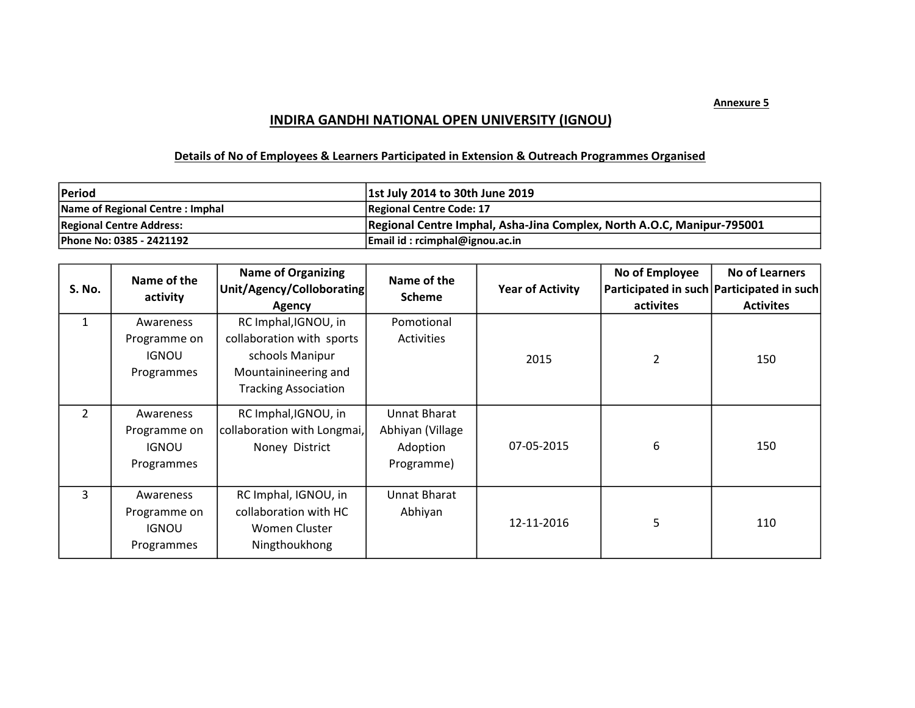## INDIRA GANDHI NATIONAL OPEN UNIVERSITY (IGNOU)

## Details of No of Employees & Learners Participated in Extension & Outreach Programmes Organised

| <b>IPeriod</b>                  | 1st July 2014 to 30th June 2019                                        |
|---------------------------------|------------------------------------------------------------------------|
| Name of Regional Centre: Imphal | Regional Centre Code: 17                                               |
| <b>Regional Centre Address:</b> | Regional Centre Imphal, Asha-Jina Complex, North A.O.C, Manipur-795001 |
| Phone No: 0385 - 2421192        | Email id: rcimphal@ignou.ac.in                                         |

| <b>S. No.</b>  | Name of the<br>activity                                 | <b>Name of Organizing</b><br>Unit/Agency/Colloborating<br>Agency                                                            | Name of the<br><b>Scheme</b>                               | <b>Year of Activity</b> | No of Employee<br>activites | <b>No of Learners</b><br>Participated in such Participated in such<br><b>Activites</b> |
|----------------|---------------------------------------------------------|-----------------------------------------------------------------------------------------------------------------------------|------------------------------------------------------------|-------------------------|-----------------------------|----------------------------------------------------------------------------------------|
| $\mathbf{1}$   | Awareness<br>Programme on<br><b>IGNOU</b><br>Programmes | RC Imphal, IGNOU, in<br>collaboration with sports<br>schools Manipur<br>Mountainineering and<br><b>Tracking Association</b> | Pomotional<br>Activities                                   | 2015                    | 2                           | 150                                                                                    |
| $\overline{2}$ | Awareness<br>Programme on<br><b>IGNOU</b><br>Programmes | RC Imphal, IGNOU, in<br>collaboration with Longmai,<br>Noney District                                                       | Unnat Bharat<br>Abhiyan (Village<br>Adoption<br>Programme) | 07-05-2015              | 6                           | 150                                                                                    |
| 3              | Awareness<br>Programme on<br><b>IGNOU</b><br>Programmes | RC Imphal, IGNOU, in<br>collaboration with HC<br>Women Cluster<br>Ningthoukhong                                             | Unnat Bharat<br>Abhiyan                                    | 12-11-2016              | 5                           | 110                                                                                    |

Annexure 5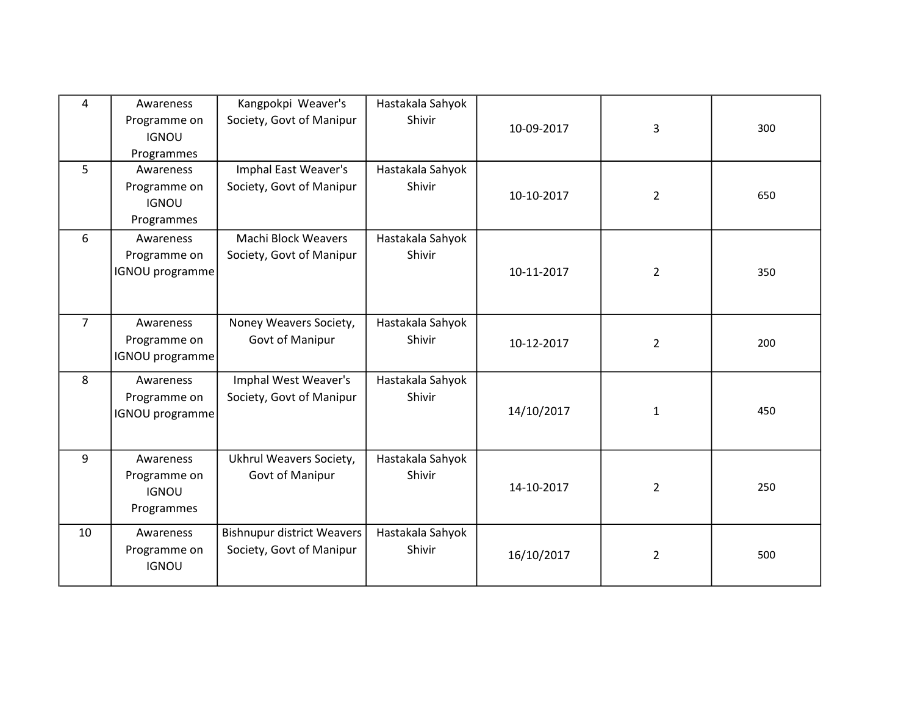| 4              | Awareness<br>Programme on<br><b>IGNOU</b><br>Programmes | Kangpokpi Weaver's<br>Society, Govt of Manipur                | Hastakala Sahyok<br>Shivir | 10-09-2017 | 3              | 300 |
|----------------|---------------------------------------------------------|---------------------------------------------------------------|----------------------------|------------|----------------|-----|
| 5              | Awareness<br>Programme on<br><b>IGNOU</b><br>Programmes | Imphal East Weaver's<br>Society, Govt of Manipur              | Hastakala Sahyok<br>Shivir | 10-10-2017 | $\overline{2}$ | 650 |
| 6              | Awareness<br>Programme on<br><b>IGNOU</b> programme     | <b>Machi Block Weavers</b><br>Society, Govt of Manipur        | Hastakala Sahyok<br>Shivir | 10-11-2017 | 2              | 350 |
| $\overline{7}$ | Awareness<br>Programme on<br><b>IGNOU</b> programme     | Noney Weavers Society,<br>Govt of Manipur                     | Hastakala Sahyok<br>Shivir | 10-12-2017 | $\overline{2}$ | 200 |
| 8              | Awareness<br>Programme on<br><b>IGNOU</b> programme     | Imphal West Weaver's<br>Society, Govt of Manipur              | Hastakala Sahyok<br>Shivir | 14/10/2017 | $\mathbf{1}$   | 450 |
| 9              | Awareness<br>Programme on<br><b>IGNOU</b><br>Programmes | Ukhrul Weavers Society,<br>Govt of Manipur                    | Hastakala Sahyok<br>Shivir | 14-10-2017 | $\overline{2}$ | 250 |
| 10             | Awareness<br>Programme on<br><b>IGNOU</b>               | <b>Bishnupur district Weavers</b><br>Society, Govt of Manipur | Hastakala Sahyok<br>Shivir | 16/10/2017 | $\overline{2}$ | 500 |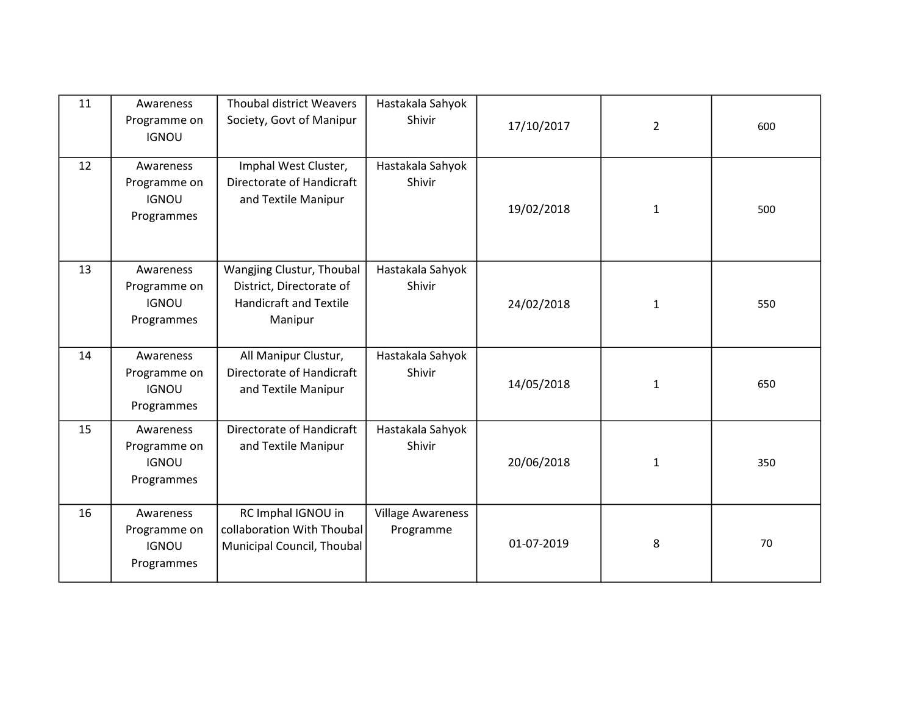| 11 | Awareness<br>Programme on<br><b>IGNOU</b>               | <b>Thoubal district Weavers</b><br>Society, Govt of Manipur                                       | Hastakala Sahyok<br><b>Shivir</b>     | 17/10/2017 | $\overline{2}$ | 600 |
|----|---------------------------------------------------------|---------------------------------------------------------------------------------------------------|---------------------------------------|------------|----------------|-----|
| 12 | Awareness<br>Programme on<br><b>IGNOU</b><br>Programmes | Imphal West Cluster,<br>Directorate of Handicraft<br>and Textile Manipur                          | Hastakala Sahyok<br>Shivir            | 19/02/2018 | $\mathbf{1}$   | 500 |
| 13 | Awareness<br>Programme on<br><b>IGNOU</b><br>Programmes | Wangjing Clustur, Thoubal<br>District, Directorate of<br><b>Handicraft and Textile</b><br>Manipur | Hastakala Sahyok<br>Shivir            | 24/02/2018 | 1              | 550 |
| 14 | Awareness<br>Programme on<br><b>IGNOU</b><br>Programmes | All Manipur Clustur,<br>Directorate of Handicraft<br>and Textile Manipur                          | Hastakala Sahyok<br>Shivir            | 14/05/2018 | $\mathbf{1}$   | 650 |
| 15 | Awareness<br>Programme on<br><b>IGNOU</b><br>Programmes | Directorate of Handicraft<br>and Textile Manipur                                                  | Hastakala Sahyok<br>Shivir            | 20/06/2018 | $\mathbf{1}$   | 350 |
| 16 | Awareness<br>Programme on<br><b>IGNOU</b><br>Programmes | RC Imphal IGNOU in<br>collaboration With Thoubal<br>Municipal Council, Thoubal                    | <b>Village Awareness</b><br>Programme | 01-07-2019 | 8              | 70  |